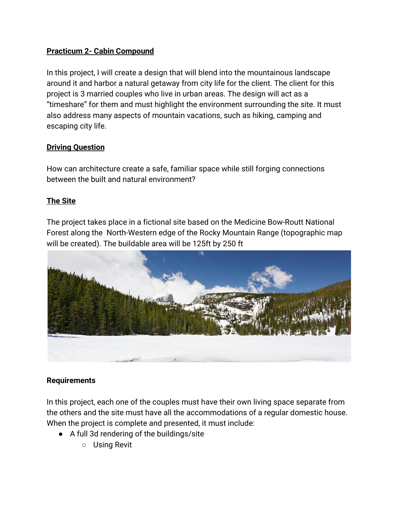## **Practicum 2- Cabin Compound**

In this project, I will create a design that will blend into the mountainous landscape around it and harbor a natural getaway from city life for the client. The client for this project is 3 married couples who live in urban areas. The design will act as a "timeshare" for them and must highlight the environment surrounding the site. It must also address many aspects of mountain vacations, such as hiking, camping and escaping city life.

### **Driving Question**

How can architecture create a safe, familiar space while still forging connections between the built and natural environment?

### **The Site**

The project takes place in a fictional site based on the Medicine Bow-Routt National Forest along the North-Western edge of the Rocky Mountain Range (topographic map will be created). The buildable area will be 125ft by 250 ft



#### **Requirements**

In this project, each one of the couples must have their own living space separate from the others and the site must have all the accommodations of a regular domestic house. When the project is complete and presented, it must include:

- A full 3d rendering of the buildings/site
	- Using Revit